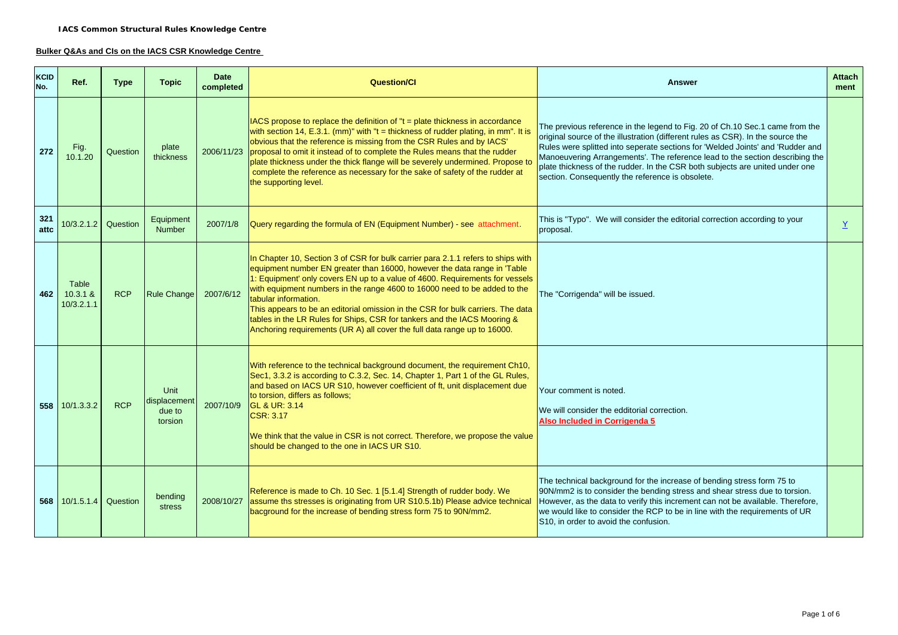#### **Bulker Q&As and CIs on the IACS CSR Knowledge Centre**

| <b>KCID</b><br>No. | Ref.                            | <b>Type</b> | <b>Topic</b>                                     | <b>Date</b><br>completed | <b>Question/CI</b>                                                                                                                                                                                                                                                                                                                                                                                                                                                                                                                                                                           | <b>Answer</b>                                                                                                                                                                                                                                                                                                                                                                                                                                                         |  |
|--------------------|---------------------------------|-------------|--------------------------------------------------|--------------------------|----------------------------------------------------------------------------------------------------------------------------------------------------------------------------------------------------------------------------------------------------------------------------------------------------------------------------------------------------------------------------------------------------------------------------------------------------------------------------------------------------------------------------------------------------------------------------------------------|-----------------------------------------------------------------------------------------------------------------------------------------------------------------------------------------------------------------------------------------------------------------------------------------------------------------------------------------------------------------------------------------------------------------------------------------------------------------------|--|
| 272                | Fig.<br>10.1.20                 | Question    | plate<br>thickness                               |                          | $ IACS$ propose to replace the definition of " $t =$ plate thickness in accordance<br>with section 14, E.3.1. (mm)" with " $t =$ thickness of rudder plating, in mm". It is<br>obvious that the reference is missing from the CSR Rules and by IACS'<br>2006/11/23 proposal to omit it instead of to complete the Rules means that the rudder<br>plate thickness under the thick flange will be severely undermined. Propose to<br>complete the reference as necessary for the sake of safety of the rudder at<br>the supporting level.                                                      | The previous reference in the legend to Fig. 20 of Ch.10 Sec.1 came from the<br>original source of the illustration (different rules as CSR). In the source the<br>Rules were splitted into seperate sections for 'Welded Joints' and 'Rudder and<br>Manoeuvering Arrangements'. The reference lead to the section describing the<br>plate thickness of the rudder. In the CSR both subjects are united under one<br>section. Consequently the reference is obsolete. |  |
| 321<br>attc        | 10/3.2.1.2 Question             |             | Equipment<br><b>Number</b>                       | 2007/1/8                 | Query regarding the formula of EN (Equipment Number) - see attachment.                                                                                                                                                                                                                                                                                                                                                                                                                                                                                                                       | This is "Typo". We will consider the editorial correction according to your<br>proposal.                                                                                                                                                                                                                                                                                                                                                                              |  |
| 462                | Table<br>10.3.1 &<br>10/3.2.1.1 | <b>RCP</b>  | Rule Change                                      | 2007/6/12                | In Chapter 10, Section 3 of CSR for bulk carrier para 2.1.1 refers to ships with<br>equipment number EN greater than 16000, however the data range in 'Table<br>1: Equipment' only covers EN up to a value of 4600. Requirements for vessels<br>with equipment numbers in the range 4600 to 16000 need to be added to the<br>tabular information.<br>This appears to be an editorial omission in the CSR for bulk carriers. The data<br>tables in the LR Rules for Ships, CSR for tankers and the IACS Mooring &<br>Anchoring requirements (UR A) all cover the full data range up to 16000. | The "Corrigenda" will be issued.                                                                                                                                                                                                                                                                                                                                                                                                                                      |  |
|                    | 558 10/1.3.3.2                  | <b>RCP</b>  | <b>Unit</b><br>displacement<br>due to<br>torsion | 2007/10/9                | With reference to the technical background document, the requirement Ch10,<br>Sec1, 3.3.2 is according to C.3.2, Sec. 14, Chapter 1, Part 1 of the GL Rules,<br>and based on IACS UR S10, however coefficient of ft, unit displacement due<br>to torsion, differs as follows;<br><b>GL &amp; UR: 3.14</b><br><b>CSR: 3.17</b><br>We think that the value in CSR is not correct. Therefore, we propose the value<br>should be changed to the one in IACS UR S10.                                                                                                                              | Your comment is noted.<br>We will consider the edditorial correction.<br>Also Included in Corrigenda 5                                                                                                                                                                                                                                                                                                                                                                |  |
|                    | 568 10/1.5.1.4                  | Question    | bending<br>stress                                | 2008/10/27               | Reference is made to Ch. 10 Sec. 1 [5.1.4] Strength of rudder body. We<br>assume ths stresses is originating from UR S10.5.1b) Please advice technical<br>bacground for the increase of bending stress form 75 to 90N/mm2.                                                                                                                                                                                                                                                                                                                                                                   | The technical background for the increase of bending stress form 75 to<br>90N/mm2 is to consider the bending stress and shear stress due to torsion.<br>However, as the data to verify this increment can not be available. Therefore,<br>we would like to consider the RCP to be in line with the requirements of UR<br>S10, in order to avoid the confusion.                                                                                                        |  |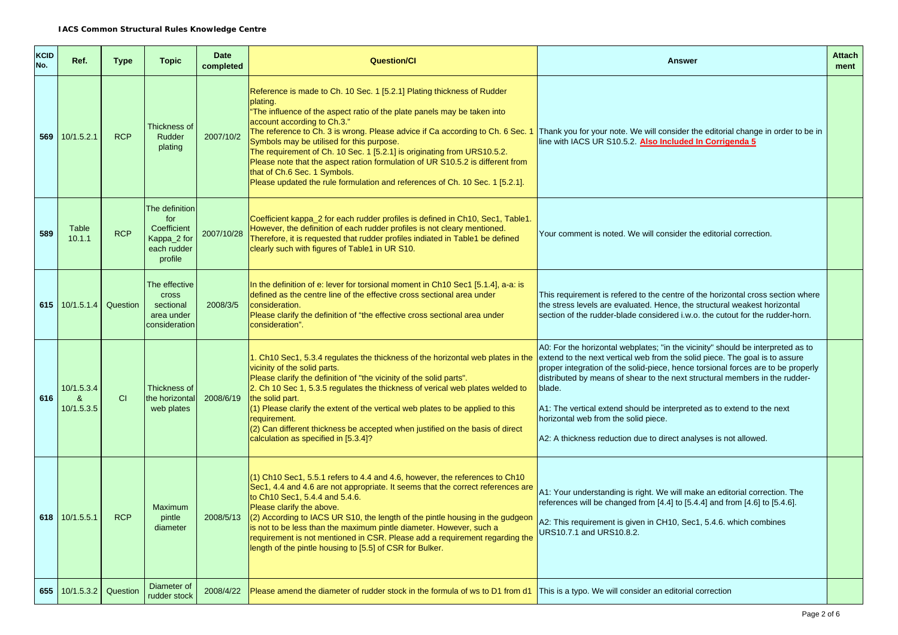| <b>KCID</b><br>No. | Ref.                          | <b>Type</b> | <b>Topic</b>                                                                  | <b>Date</b><br>completed | <b>Question/Cl</b>                                                                                                                                                                                                                                                                                                                                                                                                                                                                                                                                                                                        | <b>Attach</b><br><b>Answer</b><br>ment                                                                                                                                                                                                                                                                                                                                                                                                                                                                                            |  |  |
|--------------------|-------------------------------|-------------|-------------------------------------------------------------------------------|--------------------------|-----------------------------------------------------------------------------------------------------------------------------------------------------------------------------------------------------------------------------------------------------------------------------------------------------------------------------------------------------------------------------------------------------------------------------------------------------------------------------------------------------------------------------------------------------------------------------------------------------------|-----------------------------------------------------------------------------------------------------------------------------------------------------------------------------------------------------------------------------------------------------------------------------------------------------------------------------------------------------------------------------------------------------------------------------------------------------------------------------------------------------------------------------------|--|--|
|                    | 569 10/1.5.2.1                | <b>RCP</b>  | Thickness of<br>Rudder<br>plating                                             | 2007/10/2                | Reference is made to Ch. 10 Sec. 1 [5.2.1] Plating thickness of Rudder<br>plating.<br>"The influence of the aspect ratio of the plate panels may be taken into<br>account according to Ch.3."<br>The reference to Ch. 3 is wrong. Please advice if Ca according to Ch. 6 Sec. 1<br>Symbols may be utilised for this purpose.<br>The requirement of Ch. 10 Sec. 1 [5.2.1] is originating from URS10.5.2.<br>Please note that the aspect ration formulation of UR S10.5.2 is different from<br>that of Ch.6 Sec. 1 Symbols.<br>Please updated the rule formulation and references of Ch. 10 Sec. 1 [5.2.1]. | Thank you for your note. We will consider the editorial change in order to be in<br>line with IACS UR S10.5.2. Also Included In Corrigenda 5                                                                                                                                                                                                                                                                                                                                                                                      |  |  |
| 589                | Table<br>10.1.1               | <b>RCP</b>  | The definition<br>for<br>Coefficient<br>Kappa_2 for<br>each rudder<br>profile | 2007/10/28               | Coefficient kappa_2 for each rudder profiles is defined in Ch10, Sec1, Table1.<br>However, the definition of each rudder profiles is not cleary mentioned.<br>Therefore, it is requested that rudder profiles indiated in Table1 be defined<br>clearly such with figures of Table1 in UR S10.                                                                                                                                                                                                                                                                                                             | Your comment is noted. We will consider the editorial correction.                                                                                                                                                                                                                                                                                                                                                                                                                                                                 |  |  |
|                    | 615 $10/1.5.1.4$              | Question    | The effective<br><b>Cross</b><br>sectional<br>area under<br>consideration     | 2008/3/5                 | In the definition of e: lever for torsional moment in Ch10 Sec1 [5.1.4], a-a: is<br>defined as the centre line of the effective cross sectional area under<br>consideration.<br>Please clarify the definition of "the effective cross sectional area under<br>consideration".                                                                                                                                                                                                                                                                                                                             | This requirement is refered to the centre of the horizontal cross section where<br>the stress levels are evaluated. Hence, the structural weakest horizontal<br>section of the rudder-blade considered i.w.o. the cutout for the rudder-horn.                                                                                                                                                                                                                                                                                     |  |  |
| 616                | 10/1.5.3.4<br>&<br>10/1.5.3.5 | CI          | Thickness of<br>the horizontal<br>web plates                                  | 2008/6/19                | 1. Ch10 Sec1, 5.3.4 regulates the thickness of the horizontal web plates in the<br>vicinity of the solid parts.<br>Please clarify the definition of "the vicinity of the solid parts".<br>2. Ch 10 Sec 1, 5.3.5 regulates the thickness of verical web plates welded to<br>the solid part.<br>(1) Please clarify the extent of the vertical web plates to be applied to this<br>requirement.<br>(2) Can different thickness be accepted when justified on the basis of direct<br>calculation as specified in [5.3.4]?                                                                                     | A0: For the horizontal webplates; "in the vicinity" should be interpreted as to<br>extend to the next vertical web from the solid piece. The goal is to assure<br>proper integration of the solid-piece, hence torsional forces are to be properly<br>distributed by means of shear to the next structural members in the rudder-<br>blade.<br>A1: The vertical extend should be interpreted as to extend to the next<br>horizontal web from the solid piece.<br>A2: A thickness reduction due to direct analyses is not allowed. |  |  |
|                    | 618 $10/1.5.5.1$              | <b>RCP</b>  | <b>Maximum</b><br>pintle<br>diameter                                          | 2008/5/13                | (1) Ch10 Sec1, 5.5.1 refers to 4.4 and 4.6, however, the references to Ch10<br>Sec1, 4.4 and 4.6 are not appropriate. It seems that the correct references are<br>to Ch10 Sec1, 5.4.4 and 5.4.6.<br>Please clarify the above.<br>(2) According to IACS UR S10, the length of the pintle housing in the gudgeon<br>is not to be less than the maximum pintle diameter. However, such a<br>requirement is not mentioned in CSR. Please add a requirement regarding the<br>length of the pintle housing to [5.5] of CSR for Bulker.                                                                          | A1: Your understanding is right. We will make an editorial correction. The<br>references will be changed from [4.4] to [5.4.4] and from [4.6] to [5.4.6].<br>A2: This requirement is given in CH10, Sec1, 5.4.6. which combines<br>URS10.7.1 and URS10.8.2.                                                                                                                                                                                                                                                                       |  |  |
| 655                | 10/1.5.3.2                    | Question    | Diameter of<br>rudder stock                                                   | 2008/4/22                | Please amend the diameter of rudder stock in the formula of ws to D1 from d1   This is a typo. We will consider an editorial correction                                                                                                                                                                                                                                                                                                                                                                                                                                                                   |                                                                                                                                                                                                                                                                                                                                                                                                                                                                                                                                   |  |  |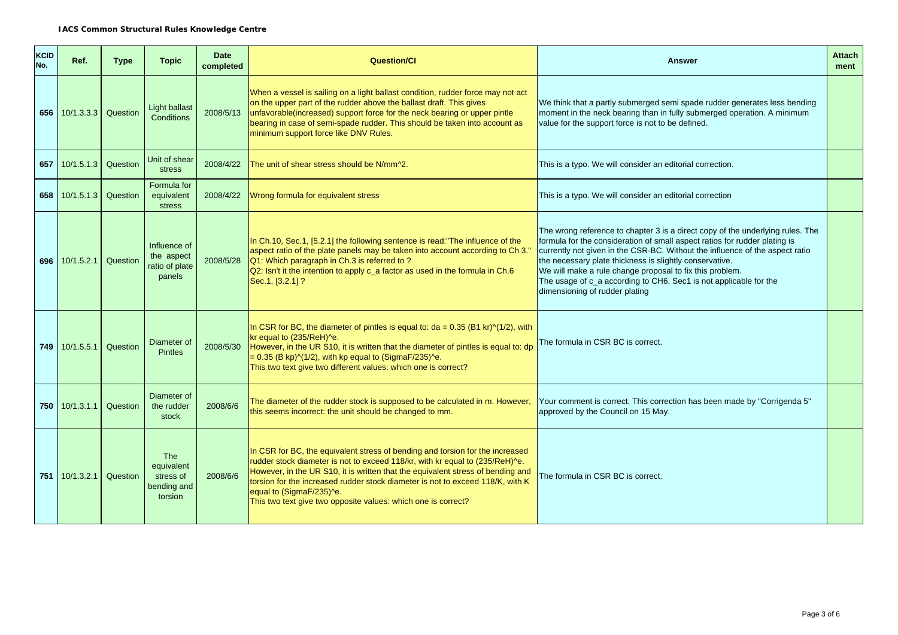| <b>KCID</b><br>No. | Ref.           | <b>Type</b> | <b>Topic</b>                                                    | <b>Date</b><br>completed | <b>Question/Cl</b>                                                                                                                                                                                                                                                                                                                                                                                                              | <b>Attach</b><br><b>Answer</b><br>ment                                                                                                                                                                                                                                                                                                                                                                                                                                     |  |
|--------------------|----------------|-------------|-----------------------------------------------------------------|--------------------------|---------------------------------------------------------------------------------------------------------------------------------------------------------------------------------------------------------------------------------------------------------------------------------------------------------------------------------------------------------------------------------------------------------------------------------|----------------------------------------------------------------------------------------------------------------------------------------------------------------------------------------------------------------------------------------------------------------------------------------------------------------------------------------------------------------------------------------------------------------------------------------------------------------------------|--|
| 656                | 10/1.3.3.3     | Question    | <b>Light ballast</b><br>Conditions                              | 2008/5/13                | When a vessel is sailing on a light ballast condition, rudder force may not act<br>on the upper part of the rudder above the ballast draft. This gives<br>unfavorable(increased) support force for the neck bearing or upper pintle<br>bearing in case of semi-spade rudder. This should be taken into account as<br>minimum support force like DNV Rules.                                                                      | We think that a partly submerged semi spade rudder generates less bending<br>moment in the neck bearing than in fully submerged operation. A minimum<br>value for the support force is not to be defined.                                                                                                                                                                                                                                                                  |  |
| 657                | 10/1.5.1.3     | Question    | Unit of shear<br>stress                                         | 2008/4/22                | The unit of shear stress should be N/mm^2.                                                                                                                                                                                                                                                                                                                                                                                      | This is a typo. We will consider an editorial correction.                                                                                                                                                                                                                                                                                                                                                                                                                  |  |
| 658                | 10/1.5.1.3     | Question    | Formula for<br>equivalent<br>stress                             | 2008/4/22                | Wrong formula for equivalent stress                                                                                                                                                                                                                                                                                                                                                                                             | This is a typo. We will consider an editorial correction                                                                                                                                                                                                                                                                                                                                                                                                                   |  |
| 696                | 10/1.5.2.1     | Question    | Influence of<br>the aspect<br>ratio of plate<br>panels          | 2008/5/28                | In Ch.10, Sec.1, [5.2.1] the following sentence is read:"The influence of the<br>aspect ratio of the plate panels may be taken into account according to Ch 3."<br>Q1: Which paragraph in Ch.3 is referred to ?<br>Q2: Isn't it the intention to apply c_a factor as used in the formula in Ch.6<br>Sec.1, [3.2.1] ?                                                                                                            | The wrong reference to chapter 3 is a direct copy of the underlying rules. The<br>formula for the consideration of small aspect ratios for rudder plating is<br>currently not given in the CSR-BC. Without the influence of the aspect ratio<br>the necessary plate thickness is slightly conservative.<br>We will make a rule change proposal to fix this problem.<br>The usage of c_a according to CH6, Sec1 is not applicable for the<br>dimensioning of rudder plating |  |
|                    | 749 10/1.5.5.1 | Question    | Diameter of<br><b>Pintles</b>                                   | 2008/5/30                | In CSR for BC, the diameter of pintles is equal to: $da = 0.35$ (B1 kr) $\sqrt{(1/2)}$ , with<br>kr equal to (235/ReH)^e.<br>However, in the UR S10, it is written that the diameter of pintles is equal to: dp<br>$= 0.35$ (B kp) $\sqrt{(1/2)}$ , with kp equal to (SigmaF/235) $\sqrt{e}$ .<br>This two text give two different values: which one is correct?                                                                | The formula in CSR BC is correct.                                                                                                                                                                                                                                                                                                                                                                                                                                          |  |
| 750                | 10/1.3.1.1     | Question    | Diameter of<br>the rudder<br>stock                              | 2008/6/6                 | The diameter of the rudder stock is supposed to be calculated in m. However,<br>this seems incorrect: the unit should be changed to mm.                                                                                                                                                                                                                                                                                         | Your comment is correct. This correction has been made by "Corrigenda 5"<br>approved by the Council on 15 May.                                                                                                                                                                                                                                                                                                                                                             |  |
| 751                | 10/1.3.2.1     | Question    | <b>The</b><br>equivalent<br>stress of<br>bending and<br>torsion | 2008/6/6                 | In CSR for BC, the equivalent stress of bending and torsion for the increased<br>rudder stock diameter is not to exceed 118/kr, with kr equal to (235/ReH)^e.<br>However, in the UR S10, it is written that the equivalent stress of bending and<br>torsion for the increased rudder stock diameter is not to exceed 118/K, with K<br>equal to (SigmaF/235)^e.<br>This two text give two opposite values: which one is correct? | The formula in CSR BC is correct.                                                                                                                                                                                                                                                                                                                                                                                                                                          |  |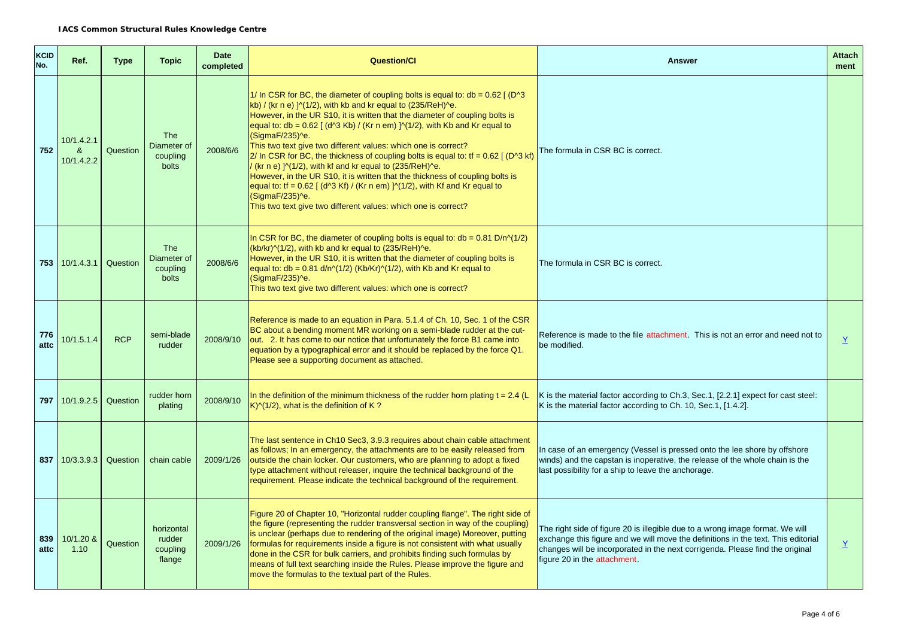| KCID<br>No. | Ref.                                     | <b>Type</b> | <b>Topic</b>                                   | <b>Date</b><br>completed | <b>Question/CI</b>                                                                                                                                                                                                                                                                                                                                                                                                                                                                                                                                                                                                                                                                                                                                                                                                                                  | <b>Attach</b><br><b>Answer</b>                                                                                                                                                                                                                                                      |                          |  |
|-------------|------------------------------------------|-------------|------------------------------------------------|--------------------------|-----------------------------------------------------------------------------------------------------------------------------------------------------------------------------------------------------------------------------------------------------------------------------------------------------------------------------------------------------------------------------------------------------------------------------------------------------------------------------------------------------------------------------------------------------------------------------------------------------------------------------------------------------------------------------------------------------------------------------------------------------------------------------------------------------------------------------------------------------|-------------------------------------------------------------------------------------------------------------------------------------------------------------------------------------------------------------------------------------------------------------------------------------|--------------------------|--|
| 752         | 10/1.4.2.1<br>$\mathbf{8}$<br>10/1.4.2.2 | Question    | <b>The</b><br>Diameter of<br>coupling<br>bolts | 2008/6/6                 | 1/ In CSR for BC, the diameter of coupling bolts is equal to: $db = 0.62$ [ (D <sup>o</sup> 3<br>kb) / (kr n e) $\frac{1}{2}$ (1/2), with kb and kr equal to (235/ReH) ^e.<br>However, in the UR S10, it is written that the diameter of coupling bolts is<br>equal to: db = $0.62$ [ (d^3 Kb) / (Kr n em) ]^(1/2), with Kb and Kr equal to<br>(SigmaF/235)^e.<br>This two text give two different values: which one is correct?<br>$2/$ In CSR for BC, the thickness of coupling bolts is equal to: tf = 0.62 [ (D^3 kf)<br>/ (kr n e) $\frac{1}{2}$ , with kf and kr equal to (235/ReH)^e.<br>However, in the UR S10, it is written that the thickness of coupling bolts is<br>equal to: tf = $0.62$ [ (d^3 Kf) / (Kr n em) ]^(1/2), with Kf and Kr equal to<br>(SigmaF/235)^e.<br>This two text give two different values: which one is correct? | The formula in CSR BC is correct.                                                                                                                                                                                                                                                   |                          |  |
|             | $753 \mid 10/1.4.3.1$                    | Question    | <b>The</b><br>Diameter of<br>coupling<br>bolts | 2008/6/6                 | In CSR for BC, the diameter of coupling bolts is equal to: $db = 0.81 D/n(1/2)$<br>(kb/kr)^(1/2), with kb and kr equal to (235/ReH)^e.<br>However, in the UR S10, it is written that the diameter of coupling bolts is<br>equal to: db = $0.81$ d/n^(1/2) (Kb/Kr)^(1/2), with Kb and Kr equal to<br>(SigmaF/235)^e.<br>This two text give two different values: which one is correct?                                                                                                                                                                                                                                                                                                                                                                                                                                                               | The formula in CSR BC is correct.                                                                                                                                                                                                                                                   |                          |  |
| 776<br>attc | 10/1.5.1.4                               | <b>RCP</b>  | semi-blade<br>rudder                           | 2008/9/10                | Reference is made to an equation in Para. 5.1.4 of Ch. 10, Sec. 1 of the CSR<br>BC about a bending moment MR working on a semi-blade rudder at the cut-<br>out. 2. It has come to our notice that unfortunately the force B1 came into<br>equation by a typographical error and it should be replaced by the force Q1.<br>Please see a supporting document as attached.                                                                                                                                                                                                                                                                                                                                                                                                                                                                             | Reference is made to the file attachment. This is not an error and need not to<br>be modified.                                                                                                                                                                                      | $\underline{Y}$          |  |
| 797         | 10/1.9.2.5                               | Question    | rudder horn<br>plating                         | 2008/9/10                | In the definition of the minimum thickness of the rudder horn plating $t = 2.4$ (L<br>$K$ $\frac{N(1/2)}{N}$ , what is the definition of K?                                                                                                                                                                                                                                                                                                                                                                                                                                                                                                                                                                                                                                                                                                         | K is the material factor according to Ch.3, Sec.1, [2.2.1] expect for cast steel:<br>K is the material factor according to Ch. 10, Sec.1, [1.4.2].                                                                                                                                  |                          |  |
| 837         | 10/3.3.9.3                               | Question    | chain cable                                    | 2009/1/26                | The last sentence in Ch10 Sec3, 3.9.3 requires about chain cable attachment<br>as follows; In an emergency, the attachments are to be easily released from<br>outside the chain locker. Our customers, who are planning to adopt a fixed<br>type attachment without releaser, inquire the technical background of the<br>requirement. Please indicate the technical background of the requirement.                                                                                                                                                                                                                                                                                                                                                                                                                                                  | In case of an emergency (Vessel is pressed onto the lee shore by offshore<br>winds) and the capstan is inoperative, the release of the whole chain is the<br>last possibility for a ship to leave the anchorage.                                                                    |                          |  |
| 839<br>attc | 10/1.20 &<br>1.10                        | Question    | horizontal<br>rudder<br>coupling<br>flange     | 2009/1/26                | Figure 20 of Chapter 10, "Horizontal rudder coupling flange". The right side of<br>the figure (representing the rudder transversal section in way of the coupling)<br>is unclear (perhaps due to rendering of the original image) Moreover, putting<br>formulas for requirements inside a figure is not consistent with what usually<br>done in the CSR for bulk carriers, and prohibits finding such formulas by<br>means of full text searching inside the Rules. Please improve the figure and<br>move the formulas to the textual part of the Rules.                                                                                                                                                                                                                                                                                            | The right side of figure 20 is illegible due to a wrong image format. We will<br>exchange this figure and we will move the definitions in the text. This editorial<br>changes will be incorporated in the next corrigenda. Please find the original<br>figure 20 in the attachment. | $\underline{\mathsf{Y}}$ |  |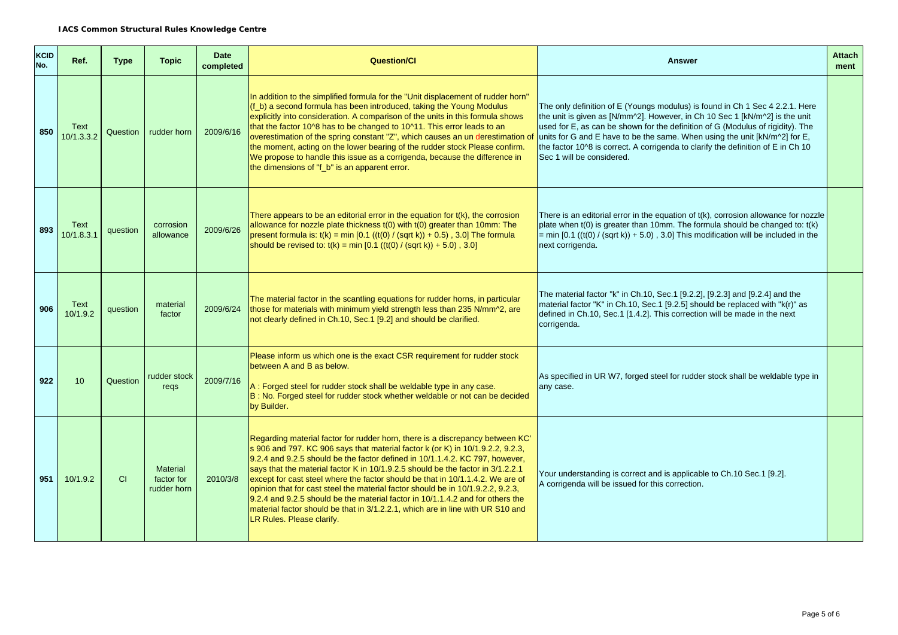| <b>KCID</b><br>No. | Ref.               | <b>Type</b> | <b>Topic</b>                                 | <b>Date</b><br>completed | <b>Question/Cl</b>                                                                                                                                                                                                                                                                                                                                                                                                                                                                                                                                                                                                                                                                                       | <b>Attach</b><br><b>Answer</b><br>ment                                                                                                                                                                                                                                                                                                                                                                                                              |  |
|--------------------|--------------------|-------------|----------------------------------------------|--------------------------|----------------------------------------------------------------------------------------------------------------------------------------------------------------------------------------------------------------------------------------------------------------------------------------------------------------------------------------------------------------------------------------------------------------------------------------------------------------------------------------------------------------------------------------------------------------------------------------------------------------------------------------------------------------------------------------------------------|-----------------------------------------------------------------------------------------------------------------------------------------------------------------------------------------------------------------------------------------------------------------------------------------------------------------------------------------------------------------------------------------------------------------------------------------------------|--|
| 850                | Text<br>10/1.3.3.2 | Question    | rudder horn                                  | 2009/6/16                | In addition to the simplified formula for the "Unit displacement of rudder horn"<br>(f_b) a second formula has been introduced, taking the Young Modulus<br>explicitly into consideration. A comparison of the units in this formula shows<br>that the factor 10^8 has to be changed to 10^11. This error leads to an<br>overestimation of the spring constant "Z", which causes an un derestimation o<br>the moment, acting on the lower bearing of the rudder stock Please confirm.<br>We propose to handle this issue as a corrigenda, because the difference in<br>the dimensions of "f_b" is an apparent error.                                                                                     | The only definition of E (Youngs modulus) is found in Ch 1 Sec 4 2.2.1. Here<br>the unit is given as $[N/mm^2]$ . However, in Ch 10 Sec 1 $[kN/m^2]$ is the unit<br>used for E, as can be shown for the definition of G (Modulus of rigidity). The<br>units for G and E have to be the same. When using the unit $[kN/m^2]$ for E,<br>the factor 10^8 is correct. A corrigenda to clarify the definition of E in Ch 10<br>Sec 1 will be considered. |  |
| 893                | Text<br>10/1.8.3.1 | question    | corrosion<br>allowance                       | 2009/6/26                | There appears to be an editorial error in the equation for $t(k)$ , the corrosion<br>allowance for nozzle plate thickness t(0) with t(0) greater than 10mm: The<br>present formula is: $t(k) = min [0.1 ((t(0) / (sqrt k)) + 0.5), 3.0]$ The formula<br>should be revised to: $t(k) = min [0.1 ((t(0) / (sqrt k)) + 5.0)$ , 3.0]                                                                                                                                                                                                                                                                                                                                                                         | There is an editorial error in the equation of $t(k)$ , corrosion allowance for nozzle<br>plate when $t(0)$ is greater than 10mm. The formula should be changed to: $t(k)$<br>$=$ min [0.1 ((t(0) / (sqrt k)) + 5.0), 3.0] This modification will be included in the<br>next corrigenda.                                                                                                                                                            |  |
| 906                | Text<br>10/1.9.2   | question    | material<br>factor                           | 2009/6/24                | The material factor in the scantling equations for rudder horns, in particular<br>those for materials with minimum yield strength less than 235 N/mm <sup>2</sup> , are<br>not clearly defined in Ch.10, Sec.1 [9.2] and should be clarified.                                                                                                                                                                                                                                                                                                                                                                                                                                                            | The material factor "k" in Ch.10, Sec.1 [9.2.2], [9.2.3] and [9.2.4] and the<br>material factor "K" in Ch.10, Sec.1 [9.2.5] should be replaced with "k(r)" as<br>defined in Ch.10, Sec.1 [1.4.2]. This correction will be made in the next<br>corrigenda.                                                                                                                                                                                           |  |
| 922                | 10                 | Question    | rudder stock<br>regs                         | 2009/7/16                | Please inform us which one is the exact CSR requirement for rudder stock<br>between A and B as below.<br>A: Forged steel for rudder stock shall be weldable type in any case.<br>B: No. Forged steel for rudder stock whether weldable or not can be decided<br>by Builder.                                                                                                                                                                                                                                                                                                                                                                                                                              | As specified in UR W7, forged steel for rudder stock shall be weldable type in<br>any case.                                                                                                                                                                                                                                                                                                                                                         |  |
| 951                | 10/1.9.2           | CI          | <b>Material</b><br>factor for<br>rudder horn | 2010/3/8                 | Regarding material factor for rudder horn, there is a discrepancy between KC'<br>s 906 and 797. KC 906 says that material factor k (or K) in 10/1.9.2.2, 9.2.3,<br>9.2.4 and 9.2.5 should be the factor defined in 10/1.1.4.2. KC 797, however,<br>says that the material factor K in 10/1.9.2.5 should be the factor in 3/1.2.2.1<br>except for cast steel where the factor should be that in 10/1.1.4.2. We are of<br>opinion that for cast steel the material factor should be in 10/1.9.2.2, 9.2.3,<br>9.2.4 and 9.2.5 should be the material factor in 10/1.1.4.2 and for others the<br>material factor should be that in 3/1.2.2.1, which are in line with UR S10 and<br>LR Rules. Please clarify. | Your understanding is correct and is applicable to Ch.10 Sec.1 [9.2].<br>A corrigenda will be issued for this correction.                                                                                                                                                                                                                                                                                                                           |  |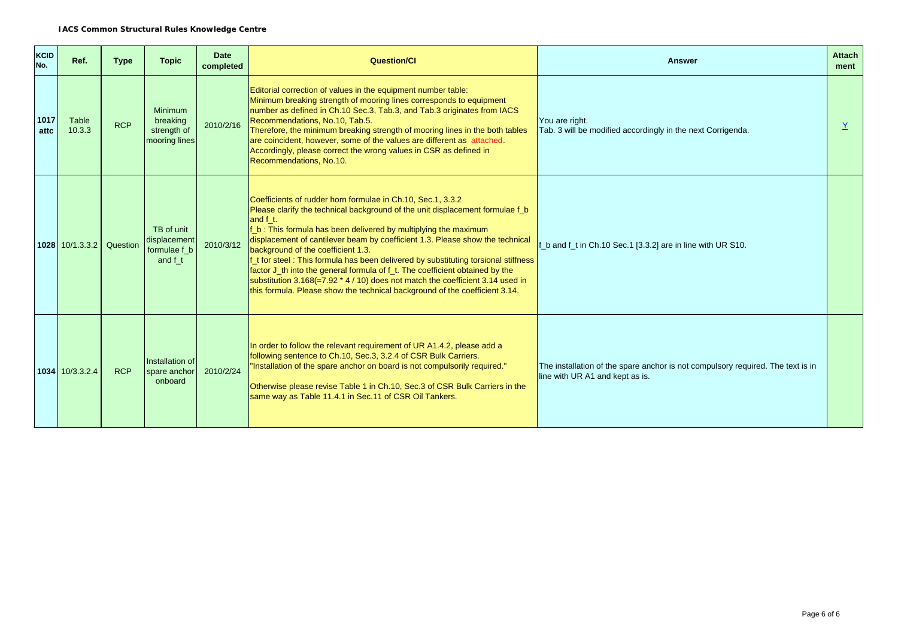| KCID<br>No.  | Ref.                     | <b>Type</b> | <b>Topic</b>                                               | <b>Date</b><br>completed | <b>Question/Cl</b>                                                                                                                                                                                                                                                                                                                                                                                                                                                                                                                                                                                                                                                                            | <b>Attach</b><br><b>Answer</b><br>ment                                                                             |  |  |
|--------------|--------------------------|-------------|------------------------------------------------------------|--------------------------|-----------------------------------------------------------------------------------------------------------------------------------------------------------------------------------------------------------------------------------------------------------------------------------------------------------------------------------------------------------------------------------------------------------------------------------------------------------------------------------------------------------------------------------------------------------------------------------------------------------------------------------------------------------------------------------------------|--------------------------------------------------------------------------------------------------------------------|--|--|
| 1017<br>attc | Table<br>10.3.3          | <b>RCP</b>  | <b>Minimum</b><br>breaking<br>strength of<br>mooring lines | 2010/2/16                | Editorial correction of values in the equipment number table:<br>Minimum breaking strength of mooring lines corresponds to equipment<br>number as defined in Ch.10 Sec.3, Tab.3, and Tab.3 originates from IACS<br>Recommendations, No.10, Tab.5.<br>Therefore, the minimum breaking strength of mooring lines in the both tables<br>are coincident, however, some of the values are different as attached.<br>Accordingly, please correct the wrong values in CSR as defined in<br>Recommendations, No.10.                                                                                                                                                                                   | You are right.<br>Tab. 3 will be modified accordingly in the next Corrigenda.                                      |  |  |
|              | 1028 10/1.3.3.2 Question |             | TB of unit<br>displacement<br>formulae f b<br>and f t      | 2010/3/12                | Coefficients of rudder horn formulae in Ch.10, Sec.1, 3.3.2<br>Please clarify the technical background of the unit displacement formulae f b<br>and f t.<br>f b: This formula has been delivered by multiplying the maximum<br>displacement of cantilever beam by coefficient 1.3. Please show the technical<br>background of the coefficient 1.3.<br>If t for steel: This formula has been delivered by substituting torsional stiffness<br>factor J_th into the general formula of f_t. The coefficient obtained by the<br>substitution $3.168 (=7.92 * 4 / 10)$ does not match the coefficient 3.14 used in<br>this formula. Please show the technical background of the coefficient 3.14. | b and f t in Ch.10 Sec.1 [3.3.2] are in line with UR S10.                                                          |  |  |
|              | $1034 \mid 10/3.3.2.4$   | <b>RCP</b>  | Installation of<br>spare anchor<br>onboard                 | 2010/2/24                | In order to follow the relevant requirement of UR A1.4.2, please add a<br>following sentence to Ch.10, Sec.3, 3.2.4 of CSR Bulk Carriers.<br>"Installation of the spare anchor on board is not compulsorily required."<br>Otherwise please revise Table 1 in Ch.10, Sec.3 of CSR Bulk Carriers in the<br>same way as Table 11.4.1 in Sec.11 of CSR Oil Tankers.                                                                                                                                                                                                                                                                                                                               | The installation of the spare anchor is not compulsory required. The text is in<br>line with UR A1 and kept as is. |  |  |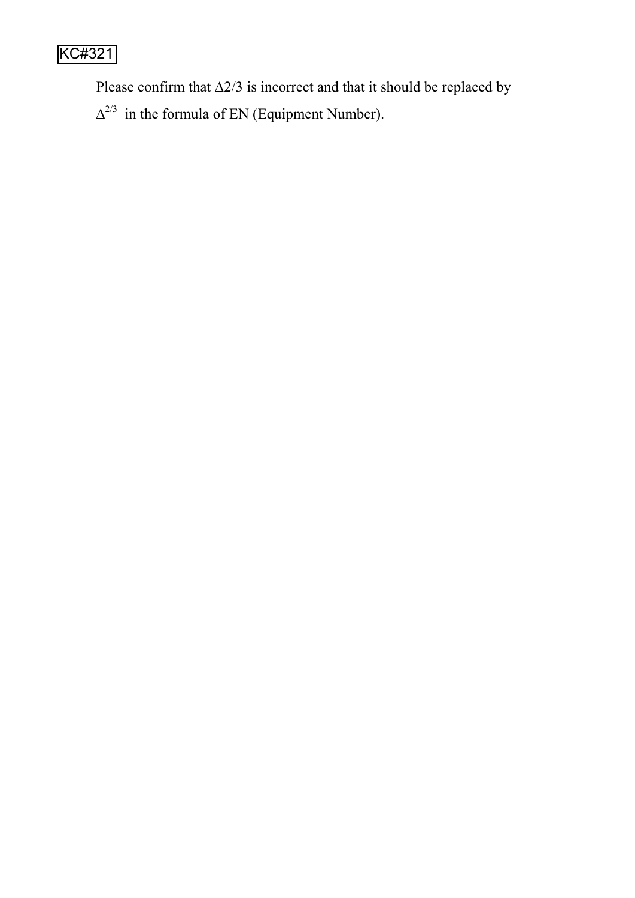# KC#321

Please confirm that  $\Delta$ 2/3 is incorrect and that it should be replaced by

 $\Delta^{2/3}$  in the formula of EN (Equipment Number).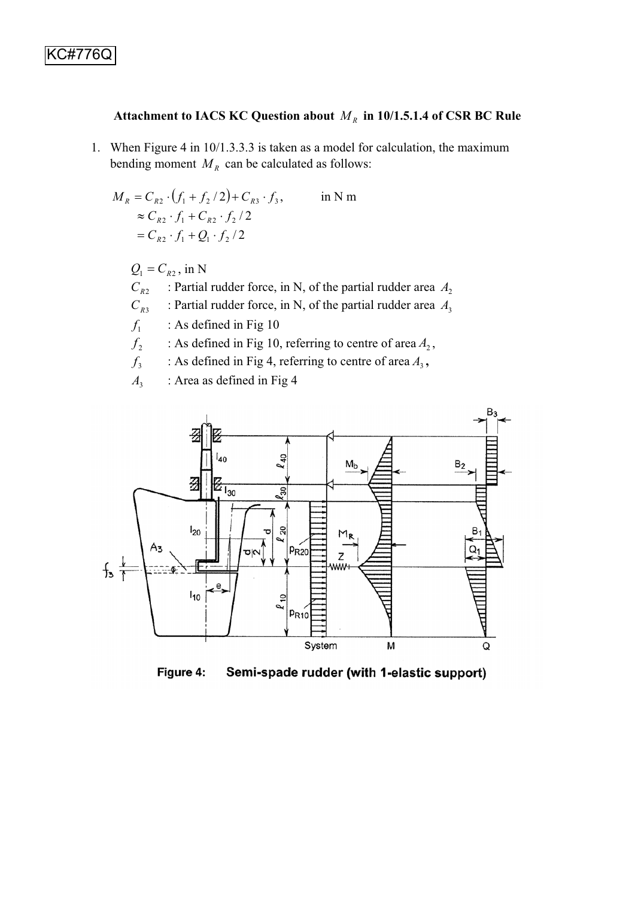## Attachment to IACS KC Question about  $M_R$  in 10/1.5.1.4 of CSR BC Rule

1. When Figure 4 in 10/1.3.3.3 is taken as a model for calculation, the maximum bending moment  $M_R$  can be calculated as follows:

$$
M_R = C_{R2} \cdot (f_1 + f_2 / 2) + C_{R3} \cdot f_3, \qquad \text{in N m}
$$
  
\n
$$
\approx C_{R2} \cdot f_1 + C_{R2} \cdot f_2 / 2
$$
  
\n
$$
= C_{R2} \cdot f_1 + Q_1 \cdot f_2 / 2
$$

 $Q_1 = C_{R2}$ , in N

 $C_{R2}$  : Partial rudder force, in N, of the partial rudder area  $A_2$ 

 $C_{R3}$  : Partial rudder force, in N, of the partial rudder area  $A_3$ 

 $f_1$  : As defined in Fig 10

- $f_2$  : As defined in Fig 10, referring to centre of area  $A_2$ ,
- $f_3$  : As defined in Fig 4, referring to centre of area  $A_3$ ,

A<sub>3</sub> : Area as defined in Fig 4



Figure 4: Semi-spade rudder (with 1-elastic support)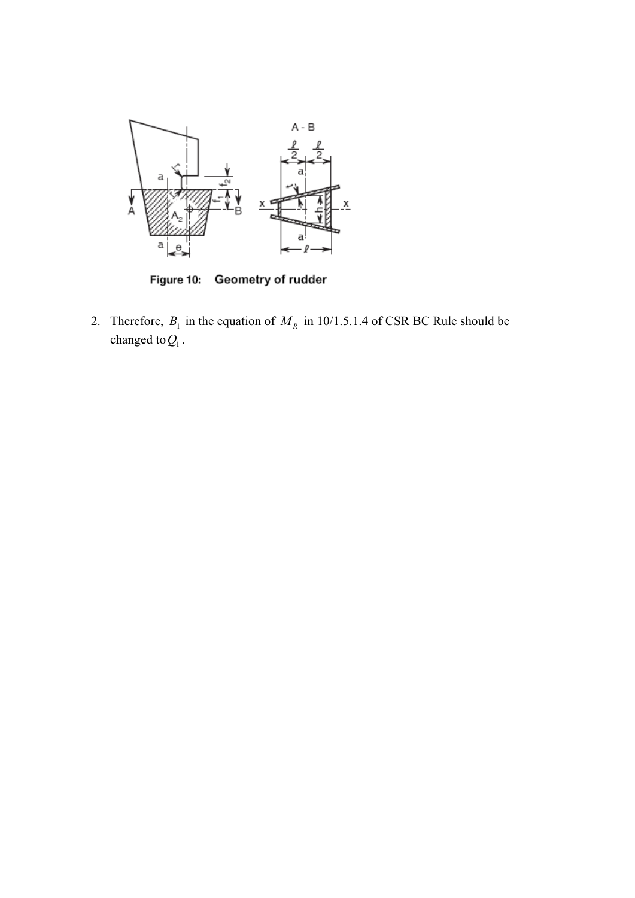

Figure 10: Geometry of rudder

2. Therefore,  $B_1$  in the equation of  $M_R$  in 10/1.5.1.4 of CSR BC Rule should be changed to  $Q_1$ .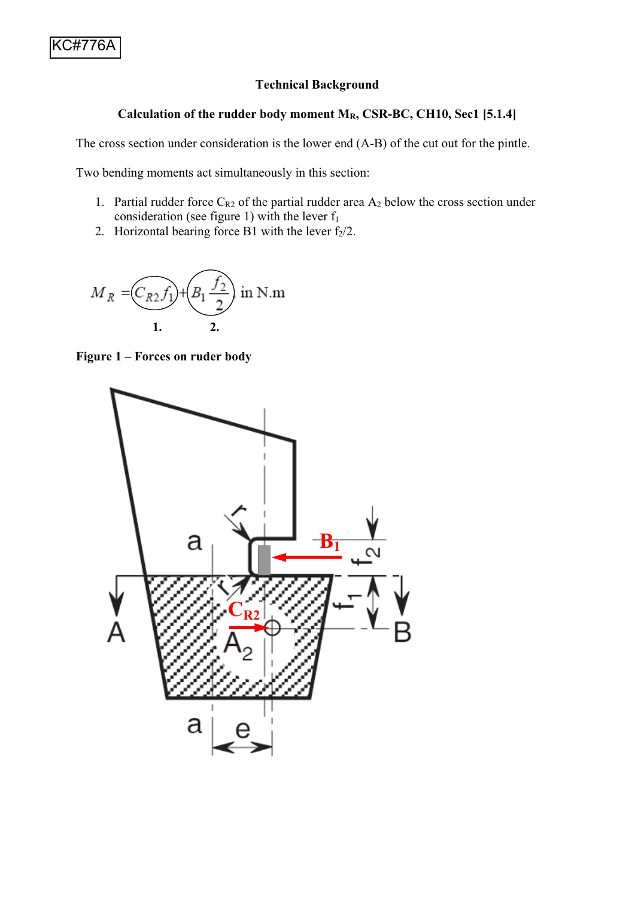### **Technical Background**

## Calculation of the rudder body moment M<sub>R</sub>, CSR-BC, CH10, Sec1 [5.1.4]

The cross section under consideration is the lower end (A-B) of the cut out for the pintle.

Two bending moments act simultaneously in this section:

- 1. Partial rudder force  $C_{R2}$  of the partial rudder area  $A_2$  below the cross section under consideration (see figure 1) with the lever  $f_1$
- 2. Horizontal bearing force B1 with the lever  $f_2/2$ .



**Figure 1 – Forces on ruder body**

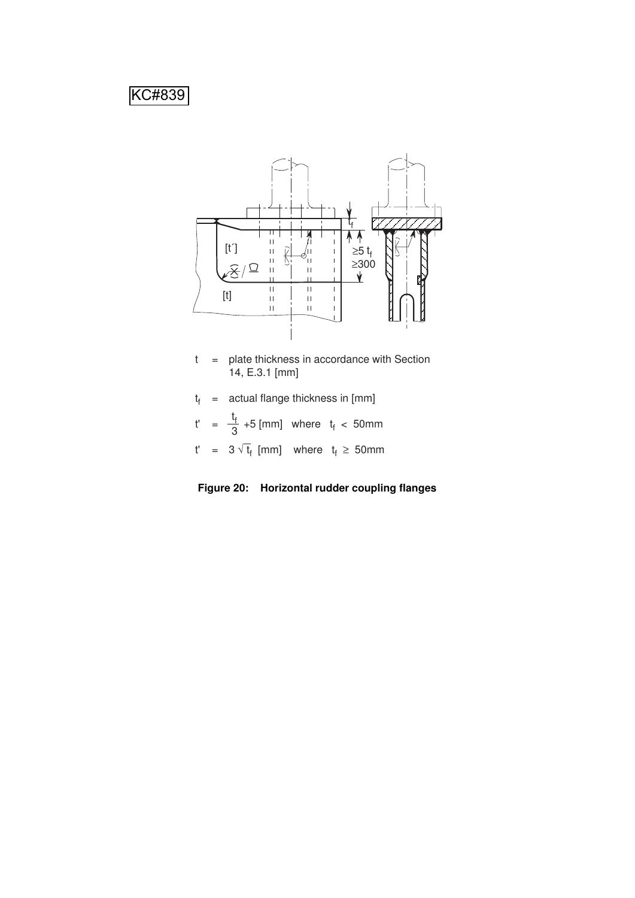# KC#839



- t = plate thickness in accordance with Section 14, E.3.1 [mm]
- t f = actual flange thickness in [mm]
- t'  $=\frac{t_{f}}{3}$  +5 [mm] where  $t_{f}$  < 50mm 3
- t' =  $3\sqrt{t_f}$  [mm] where  $t_f \ge 50$ mm
- **Figure 20: Horizontal rudder coupling flanges**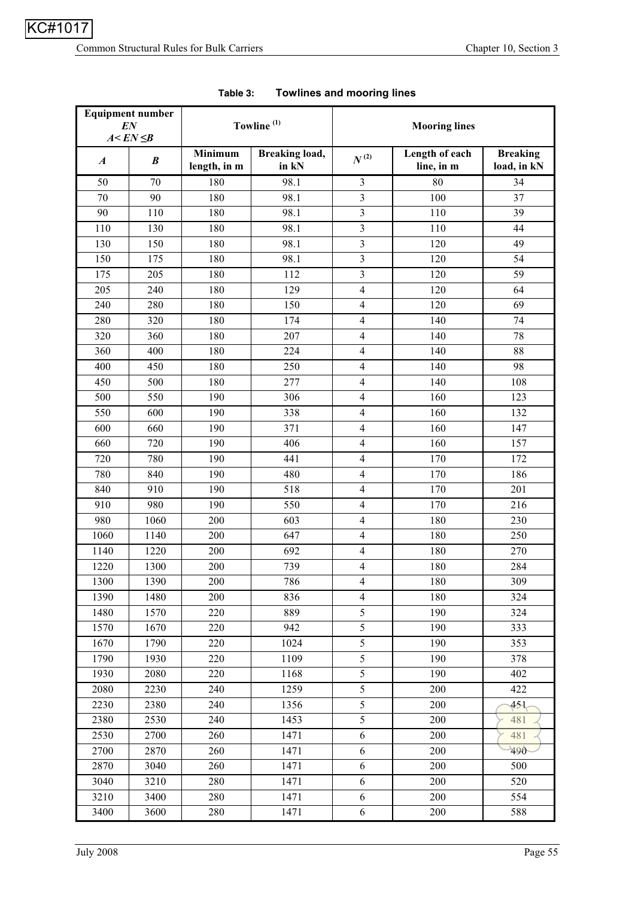|                  | <b>Equipment number</b><br>EN<br>$A < EN \leq B$ |                                | Towline <sup>(1)</sup>         | <b>Mooring lines</b>    |                              |                                |  |
|------------------|--------------------------------------------------|--------------------------------|--------------------------------|-------------------------|------------------------------|--------------------------------|--|
| $\boldsymbol{A}$ | $\boldsymbol{B}$                                 | <b>Minimum</b><br>length, in m | <b>Breaking load,</b><br>in kN | $N^{\, (2)}$            | Length of each<br>line, in m | <b>Breaking</b><br>load, in kN |  |
| 50               | 70                                               | 180                            | 98.1                           | $\overline{3}$          | 80                           | 34                             |  |
| 70               | 90                                               | 180                            | 98.1                           | $\overline{\mathbf{3}}$ | 100                          | 37                             |  |
| 90               | 110                                              | 180                            | 98.1                           | $\overline{\mathbf{3}}$ | 110                          | 39                             |  |
| 110              | 130                                              | 180                            | 98.1                           | 3                       | 110                          | 44                             |  |
| 130              | 150                                              | 180                            | 98.1                           | 3                       | 120                          | 49                             |  |
| 150              | 175                                              | 180                            | 98.1                           | $\overline{3}$          | 120                          | 54                             |  |
| 175              | 205                                              | 180                            | 112                            | 3                       | 120                          | 59                             |  |
| 205              | 240                                              | 180                            | 129                            | $\overline{\mathbf{4}}$ | 120                          | 64                             |  |
| 240              | 280                                              | 180                            | 150                            | $\overline{\mathbf{4}}$ | 120                          | 69                             |  |
| 280              | 320                                              | 180                            | 174                            | 4                       | 140                          | 74                             |  |
| 320              | 360                                              | 180                            | 207                            | 4                       | 140                          | 78                             |  |
| 360              | 400                                              | 180                            | 224                            | $\overline{4}$          | 140                          | 88                             |  |
| 400              | 450                                              | 180                            | 250                            | $\overline{\mathbf{4}}$ | 140                          | 98                             |  |
| 450              | 500                                              | 180                            | 277                            | $\overline{4}$          | 140                          | 108                            |  |
| 500              | 550                                              | 190                            | 306                            | $\overline{\mathbf{4}}$ | 160                          | 123                            |  |
| 550              | 600                                              | 190                            | 338                            | 4                       | 160                          | 132                            |  |
| 600              | 660                                              | 190                            | 371                            | $\overline{\mathbf{4}}$ | 160                          | 147                            |  |
| 660              | 720                                              | 190                            | 406                            | $\overline{4}$          | 160                          | 157                            |  |
| 720              | 780                                              | 190                            | 441                            | 4                       | 170                          | 172                            |  |
| 780              | 840                                              | 190                            | 480                            | 4                       | 170                          | 186                            |  |
| 840              | 910                                              | 190                            | 518                            | 4                       | 170                          | 201                            |  |
| 910              | 980                                              | 190                            | 550                            | $\overline{\mathbf{4}}$ | 170                          | 216                            |  |
| 980              | 1060                                             | 200                            | 603                            | $\overline{4}$          | 180                          | 230                            |  |
| 1060             | 1140                                             | 200                            | 647                            | $\overline{4}$          | 180                          | 250                            |  |
| 1140             | 1220                                             | 200                            | 692                            | $\overline{\mathbf{4}}$ | 180                          | 270                            |  |
| 1220             | 1300                                             | 200                            | 739                            | $\overline{\mathbf{4}}$ | 180                          | 284                            |  |
| 1300             | 1390                                             | 200                            | 786                            | 4                       | 180                          | 309                            |  |
| 1390             | 1480                                             | 200                            | 836                            | $\overline{4}$          | 180                          | 324                            |  |
| 1480             | 1570                                             | 220                            | 889                            | 5                       | 190                          | 324                            |  |
| 1570             | 1670                                             | 220                            | 942                            | 5                       | 190                          | 333                            |  |
| 1670             | 1790                                             | 220                            | 1024                           | 5                       | 190                          | 353                            |  |
| 1790             | 1930                                             | 220                            | 1109                           | 5                       | 190                          | 378                            |  |
| 1930             | 2080                                             | 220                            | 1168                           | 5                       | 190                          | 402                            |  |
| 2080             | 2230                                             | 240                            | 1259                           | 5                       | 200                          | 422                            |  |
| 2230             | 2380                                             | 240                            | 1356                           | 5                       | 200                          | 451                            |  |
| 2380             | 2530                                             | 240                            | 1453                           | 5                       | 200                          | 481                            |  |
| 2530             | 2700                                             | 260                            | 1471                           | 6                       | 200                          | 481                            |  |
| 2700             | 2870                                             | 260                            | 1471                           | 6                       | 200                          | 490                            |  |
| 2870             | 3040                                             | 260                            | 1471                           | 6                       | 200                          | 500                            |  |
| 3040             | 3210                                             | 280                            | 1471                           | 6                       | 200                          | 520                            |  |
| 3210             | 3400                                             | 280                            | 1471                           | 6                       | 200                          | 554                            |  |
| 3400             | 3600                                             | 280                            | 1471                           | $\sqrt{6}$              | 200                          | 588                            |  |

| Table 3: |  | <b>Towlines and mooring lines</b> |
|----------|--|-----------------------------------|
|----------|--|-----------------------------------|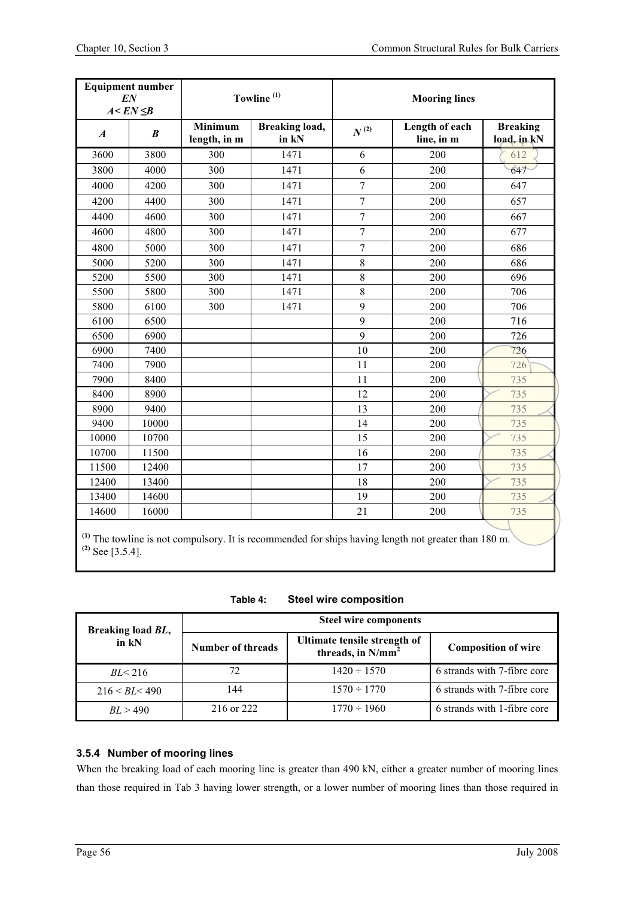| <b>Equipment number</b><br>EN<br>$A < EN \leq B$ |                  |                         | Towline <sup>(1)</sup>         | <b>Mooring lines</b> |                                                                                                        |                                |  |  |
|--------------------------------------------------|------------------|-------------------------|--------------------------------|----------------------|--------------------------------------------------------------------------------------------------------|--------------------------------|--|--|
| $\boldsymbol{A}$                                 | $\boldsymbol{B}$ | Minimum<br>length, in m | <b>Breaking load,</b><br>in kN | $N^{\, (2)}$         | Length of each<br>line, in m                                                                           | <b>Breaking</b><br>load, in kN |  |  |
| 3600                                             | 3800             | 300                     | 1471                           | 6                    | 200                                                                                                    | 612                            |  |  |
| 3800                                             | 4000             | 300                     | 1471                           | 6                    | 200                                                                                                    | 647                            |  |  |
| 4000                                             | 4200             | 300                     | 1471                           | $\overline{7}$       | 200                                                                                                    | 647                            |  |  |
| 4200                                             | 4400             | 300                     | 1471                           | $\overline{7}$       | 200                                                                                                    | 657                            |  |  |
| 4400                                             | 4600             | 300                     | 1471                           | $\overline{7}$       | 200                                                                                                    | 667                            |  |  |
| 4600                                             | 4800             | 300                     | 1471                           | $\overline{7}$       | 200                                                                                                    | 677                            |  |  |
| 4800                                             | 5000             | 300                     | 1471                           | $\overline{7}$       | 200                                                                                                    | 686                            |  |  |
| 5000                                             | 5200             | 300                     | 1471                           | $\,8\,$              | 200                                                                                                    | 686                            |  |  |
| 5200                                             | 5500             | 300                     | 1471                           | 8                    | 200                                                                                                    | 696                            |  |  |
| 5500                                             | 5800             | 300                     | 1471                           | $\,8\,$              | 200                                                                                                    | 706                            |  |  |
| 5800                                             | 6100             | 300                     | 1471                           | 9                    | 200                                                                                                    | 706                            |  |  |
| 6100                                             | 6500             |                         |                                | 9                    | 200                                                                                                    | 716                            |  |  |
| 6500                                             | 6900             |                         |                                | 9                    | 200                                                                                                    | 726                            |  |  |
| 6900                                             | 7400             |                         |                                | 10                   | 200                                                                                                    | 726                            |  |  |
| 7400                                             | 7900             |                         |                                | 11                   | 200                                                                                                    | 726                            |  |  |
| 7900                                             | 8400             |                         |                                | 11                   | 200                                                                                                    | 735                            |  |  |
| 8400                                             | 8900             |                         |                                | 12                   | 200                                                                                                    | 735                            |  |  |
| 8900                                             | 9400             |                         |                                | 13                   | 200                                                                                                    | 735                            |  |  |
| 9400                                             | 10000            |                         |                                | 14                   | 200                                                                                                    | 735                            |  |  |
| 10000                                            | 10700            |                         |                                | 15                   | 200                                                                                                    | 735                            |  |  |
| 10700                                            | 11500            |                         |                                | 16                   | 200                                                                                                    | 735                            |  |  |
| 11500                                            | 12400            |                         |                                | 17                   | 200                                                                                                    | 735                            |  |  |
| 12400                                            | 13400            |                         |                                | 18                   | 200                                                                                                    | 735                            |  |  |
| 13400                                            | 14600            |                         |                                | 19                   | 200                                                                                                    | 735                            |  |  |
| 14600                                            | 16000            |                         |                                | 21                   | 200                                                                                                    | 735                            |  |  |
|                                                  |                  |                         |                                |                      | $(1)$ The towline is not compulsory. It is recommended for ships having length not greater than 180 m. |                                |  |  |

**(2)** See [3.5.4].

**Table 4: Steel wire composition** 

| Breaking load BL, | <b>Steel wire components</b> |                                                      |                             |  |  |  |
|-------------------|------------------------------|------------------------------------------------------|-----------------------------|--|--|--|
| $in$ kN           | Number of threads            | Ultimate tensile strength of<br>threads, in $N/mm^2$ | <b>Composition of wire</b>  |  |  |  |
| BL < 216          | 72                           | $1420 \div 1570$                                     | 6 strands with 7-fibre core |  |  |  |
| 216 < BL < 490    | 144                          | $1570 \div 1770$                                     | 6 strands with 7-fibre core |  |  |  |
| BL > 490          | 216 or 222                   | $1770 \div 1960$                                     | 6 strands with 1-fibre core |  |  |  |

### **3.5.4 Number of mooring lines**

When the breaking load of each mooring line is greater than 490 kN, either a greater number of mooring lines than those required in Tab 3 having lower strength, or a lower number of mooring lines than those required in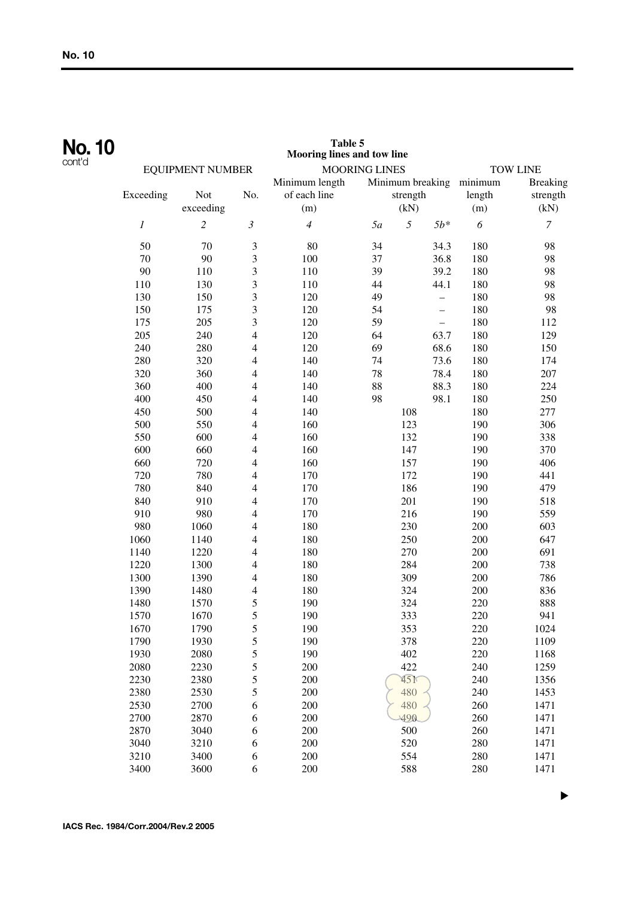| <b>No. 10</b> |           |                         |                          | Table 5<br>Mooring lines and tow line |                      |                  |       |         |                  |
|---------------|-----------|-------------------------|--------------------------|---------------------------------------|----------------------|------------------|-------|---------|------------------|
| cont'd        |           | <b>EQUIPMENT NUMBER</b> |                          |                                       | <b>MOORING LINES</b> |                  |       |         | <b>TOW LINE</b>  |
|               |           |                         |                          | Minimum length                        |                      | Minimum breaking |       | minimum | <b>Breaking</b>  |
|               | Exceeding | Not                     | No.                      | of each line                          |                      | strength         |       | length  | strength         |
|               |           | exceeding               |                          | (m)                                   |                      | (kN)             |       | (m)     | (kN)             |
|               | 1         | $\overline{c}$          | $\boldsymbol{\beta}$     | $\overline{4}$                        | 5a                   | 5                | $5b*$ | 6       | $\boldsymbol{7}$ |
|               | 50        | 70                      | $\mathfrak{Z}$           | 80                                    | 34                   |                  | 34.3  | 180     | 98               |
|               | 70        | 90                      | $\mathfrak{Z}$           | 100                                   | 37                   |                  | 36.8  | 180     | 98               |
|               | 90        | 110                     | 3                        | 110                                   | 39                   |                  | 39.2  | 180     | 98               |
|               | 110       | 130                     | 3                        | 110                                   | 44                   |                  | 44.1  | 180     | 98               |
|               | 130       | 150                     | 3                        | 120                                   | 49                   |                  | -     | 180     | 98               |
|               | 150       | 175                     | 3                        | 120                                   | 54                   |                  |       | 180     | 98               |
|               | 175       | 205                     | 3                        | 120                                   | 59                   |                  |       | 180     | 112              |
|               | 205       | 240                     | $\overline{4}$           | 120                                   | 64                   |                  | 63.7  | 180     | 129              |
|               | 240       | 280                     | 4                        | 120                                   | 69                   |                  | 68.6  | 180     | 150              |
|               | 280       | 320                     | 4                        | 140                                   | 74                   |                  | 73.6  | 180     | 174              |
|               | 320       | 360                     | 4                        | 140                                   | 78                   |                  | 78.4  | 180     | 207              |
|               | 360       | 400                     | 4                        | 140                                   | 88                   |                  | 88.3  | 180     | 224              |
|               | 400       | 450                     | 4                        | 140                                   | 98                   |                  | 98.1  | 180     | 250              |
|               | 450       | 500                     | 4                        | 140                                   |                      | 108              |       | 180     | 277              |
|               | 500       | 550                     | 4                        | 160                                   |                      | 123              |       | 190     | 306              |
|               | 550       | 600                     | 4                        | 160                                   |                      | 132              |       | 190     | 338              |
|               | 600       | 660                     | 4                        | 160                                   |                      | 147              |       | 190     | 370              |
|               | 660       | 720                     | 4                        | 160                                   |                      | 157              |       | 190     | 406              |
|               | 720       | 780                     | 4                        | 170                                   |                      | 172              |       | 190     | 441              |
|               | 780       | 840                     | 4                        | 170                                   |                      | 186              |       | 190     | 479              |
|               | 840       | 910                     | 4                        | 170                                   |                      | 201              |       | 190     | 518              |
|               | 910       | 980                     | 4                        | 170                                   |                      | 216              |       | 190     | 559              |
|               | 980       | 1060                    | $\overline{\mathcal{A}}$ | 180                                   |                      | 230              |       | 200     | 603              |
|               | 1060      | 1140                    | 4                        | 180                                   |                      | 250              |       | 200     | 647              |
|               | 1140      | 1220                    | 4                        | 180                                   |                      | 270              |       | 200     | 691              |
|               | 1220      | 1300                    | 4                        | 180                                   |                      | 284              |       | 200     | 738              |
|               | 1300      | 1390                    | 4                        | 180                                   |                      | 309              |       | 200     | 786              |
|               | 1390      | 1480                    | 4                        | 180                                   |                      | 324              |       | 200     | 836              |
|               | 1480      | 1570                    | 5                        | 190                                   |                      | 324              |       | 220     | 888              |
|               | 1570      | 1670                    | 5                        | 190                                   |                      | 333              |       | 220     | 941              |
|               | 1670      | 1790                    | 5                        | 190                                   |                      | 353              |       | 220     | 1024             |
|               | 1790      | 1930                    | 5                        | 190                                   |                      | 378              |       | 220     | 1109             |
|               | 1930      | 2080                    | 5                        | 190                                   |                      | 402              |       | 220     | 1168             |
|               | 2080      | 2230                    | 5                        | 200                                   |                      | 422              |       | 240     | 1259             |
|               | 2230      | 2380                    | 5                        | 200                                   |                      | 45 <sup>K</sup>  |       | 240     | 1356             |
|               | 2380      | 2530                    | 5                        | 200                                   |                      | 480              |       | 240     | 1453             |
|               | 2530      | 2700                    | 6                        | 200                                   |                      | 480              |       | 260     | 1471             |
|               | 2700      | 2870                    | 6                        | 200                                   |                      | 490              |       | 260     | 1471             |
|               | 2870      | 3040                    | 6                        | 200                                   |                      | 500              |       | 260     | 1471             |
|               | 3040      | 3210                    | 6                        | 200                                   |                      | 520              |       | 280     | 1471             |
|               | 3210      | 3400                    | $\sqrt{6}$               | 200                                   |                      | 554              |       | 280     | 1471             |
|               | 3400      | 3600                    | $\sqrt{6}$               | 200                                   |                      | 588              |       | 280     | 1471             |

▼